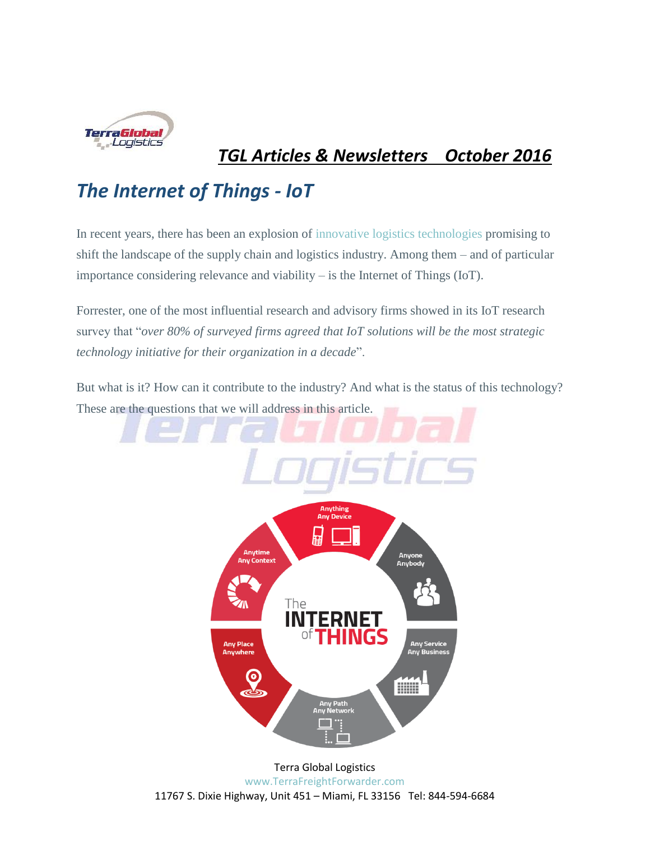

# *TGL Articles & Newsletters October 2016*

# *The Internet of Things - IoT*

In recent years, there has been an explosion of [innovative logistics technologies](http://articles.cyzerg.com/infographic-emerging-technology-shaping-the-future-of-logistics) promising to shift the landscape of the supply chain and logistics industry. Among them – and of particular importance considering relevance and viability – is the Internet of Things (IoT).

Forrester, one of the most influential research and advisory firms showed in its IoT research survey that "*over 80% of surveyed firms agreed that IoT solutions will be the most strategic technology initiative for their organization in a decade*".

But what is it? How can it contribute to the industry? And what is the status of this technology? These are the questions that we will address in this article.



[www.TerraFreightForwarder.com](http://www.terragloballogistics.com/)

11767 S. Dixie Highway, Unit 451 – Miami, FL 33156 Tel: 844-594-6684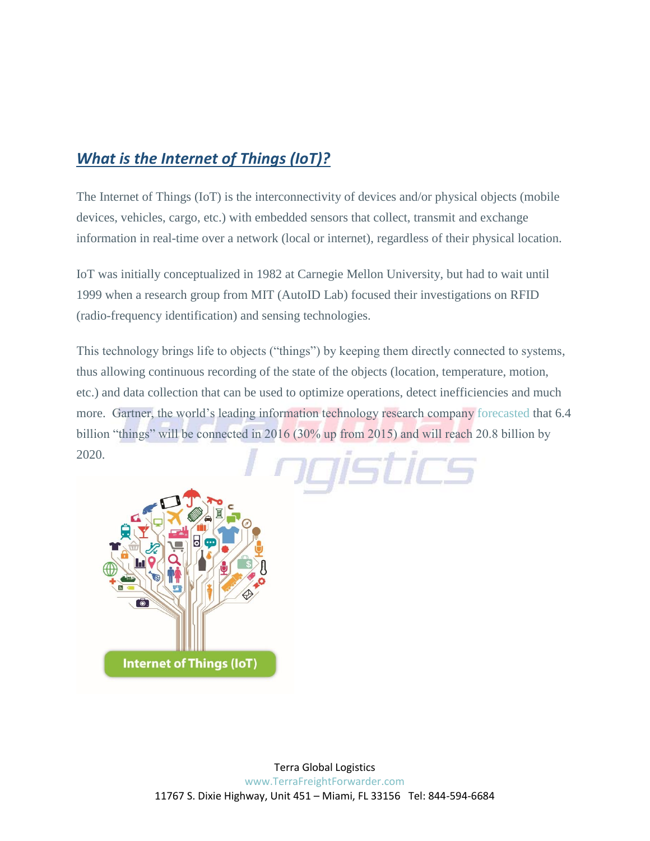## *What is the Internet of Things (IoT)?*

The Internet of Things (IoT) is the interconnectivity of devices and/or physical objects (mobile devices, vehicles, cargo, etc.) with embedded sensors that collect, transmit and exchange information in real-time over a network (local or internet), regardless of their physical location.

IoT was initially conceptualized in 1982 at Carnegie Mellon University, but had to wait until 1999 when a research group from MIT (AutoID Lab) focused their investigations on RFID (radio-frequency identification) and sensing technologies.

This technology brings life to objects ("things") by keeping them directly connected to systems, thus allowing continuous recording of the state of the objects (location, temperature, motion, etc.) and data collection that can be used to optimize operations, detect inefficiencies and much more. Gartner, the world's leading information technology research company [forecasted](http://www.gartner.com/newsroom/id/3165317) that 6.4 billion "things" will be connected in 2016 (30% up from 2015) and will reach 20.8 billion by 2020.raistics

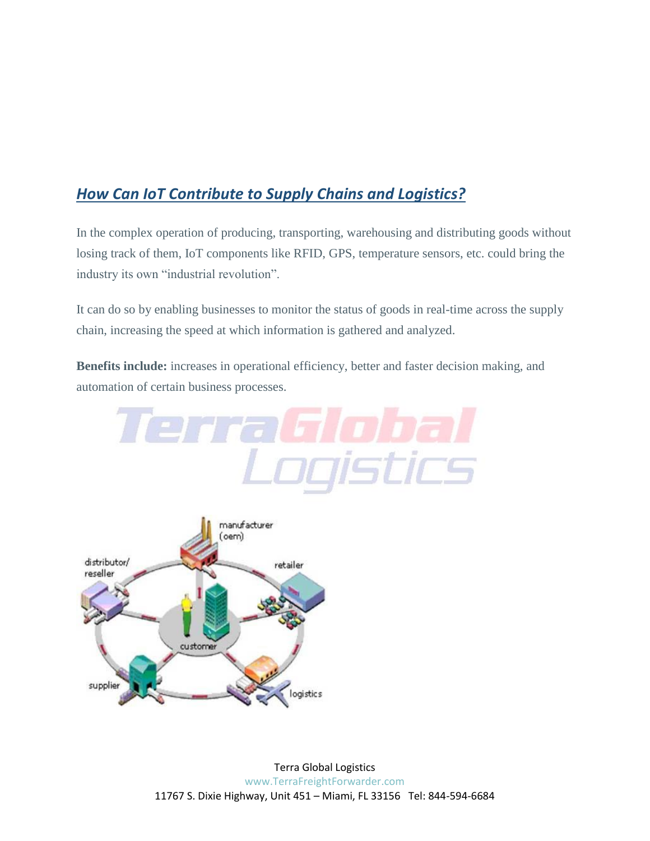## *How Can IoT Contribute to Supply Chains and Logistics?*

In the complex operation of producing, transporting, warehousing and distributing goods without losing track of them, IoT components like RFID, GPS, temperature sensors, etc. could bring the industry its own "industrial revolution".

It can do so by enabling businesses to monitor the status of goods in real-time across the supply chain, increasing the speed at which information is gathered and analyzed.

**Benefits include:** increases in operational efficiency, better and faster decision making, and automation of certain business processes.

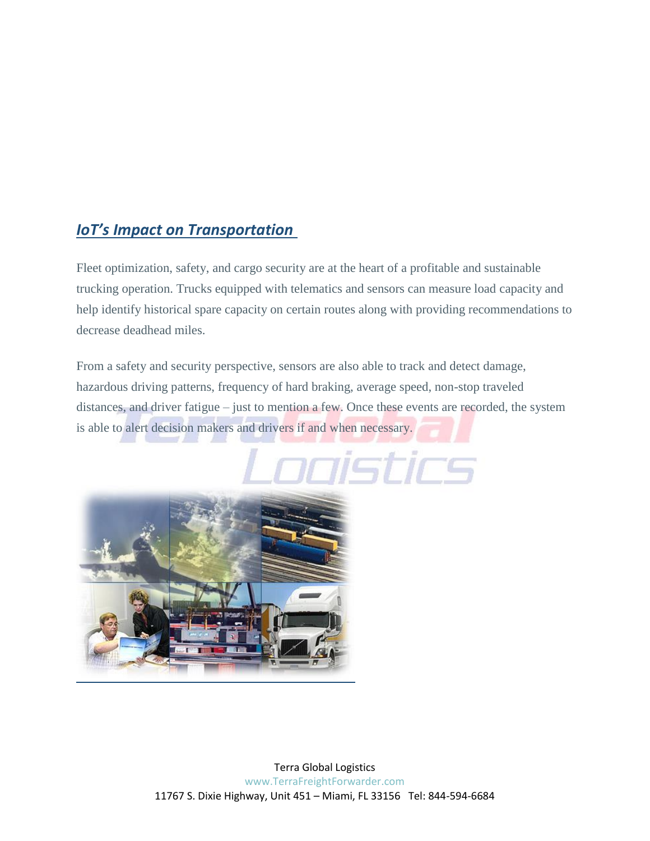### *IoT's Impact on Transportation*

Fleet optimization, safety, and cargo security are at the heart of a profitable and sustainable trucking operation. Trucks equipped with telematics and sensors can measure load capacity and help identify historical spare capacity on certain routes along with providing recommendations to decrease deadhead miles.

From a safety and security perspective, sensors are also able to track and detect damage, hazardous driving patterns, frequency of hard braking, average speed, non-stop traveled distances, and driver fatigue – just to mention a few. Once these events are recorded, the system is able to alert decision makers and drivers if and when necessary.

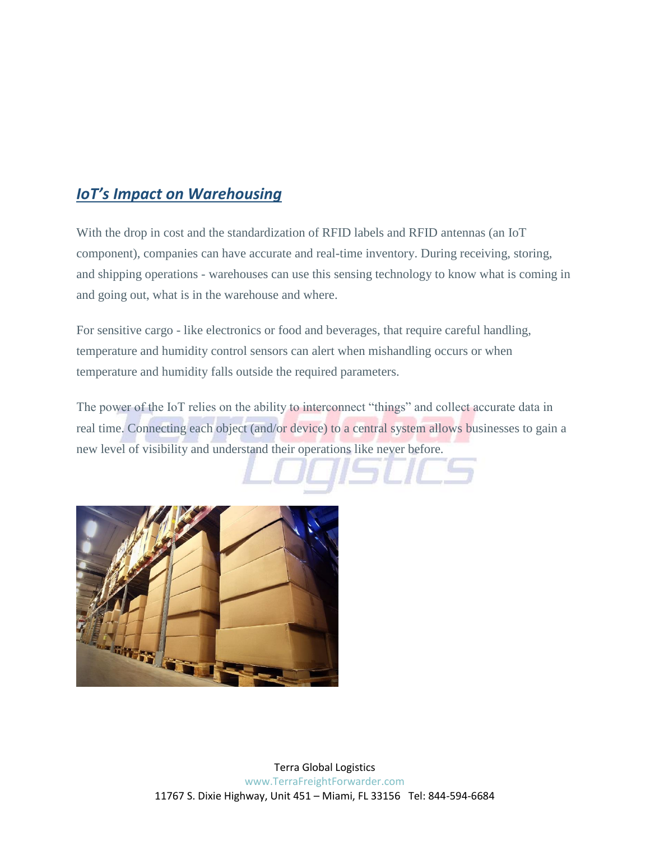#### *IoT's Impact on Warehousing*

With the drop in cost and the standardization of RFID labels and RFID antennas (an IoT component), companies can have accurate and real-time inventory. During receiving, storing, and shipping operations - warehouses can use this sensing technology to know what is coming in and going out, what is in the warehouse and where.

For sensitive cargo - like electronics or food and beverages, that require careful handling, temperature and humidity control sensors can alert when mishandling occurs or when temperature and humidity falls outside the required parameters.

The power of the IoT relies on the ability to interconnect "things" and collect accurate data in real time. Connecting each object (and/or device) to a central system allows businesses to gain a new level of visibility and understand their operations like never before.

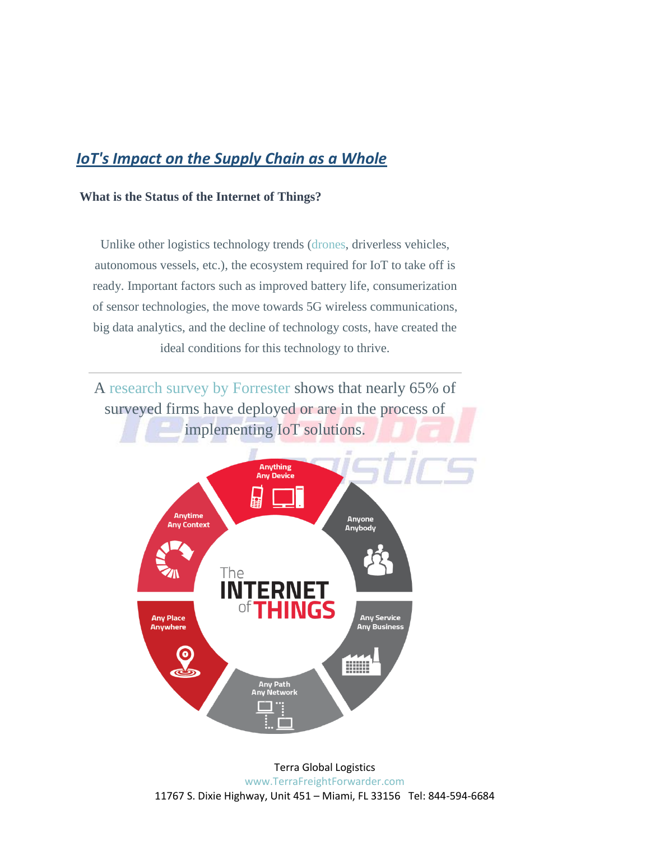#### *IoT's Impact on the Supply Chain as a Whole*

#### **What is the Status of the Internet of Things?**

Unlike other logistics technology trends [\(drones,](http://articles.cyzerg.com/how-drones-will-affect-the-logistics-industry-in-the-next-10-years/) driverless vehicles, autonomous vessels, etc.), the ecosystem required for IoT to take off is ready. Important factors such as improved battery life, consumerization of sensor technologies, the move towards 5G wireless communications, big data analytics, and the decline of technology costs, have created the ideal conditions for this technology to thrive.

A [research survey by Forrester](https://www.zebra.com/content/dam/zebra/press-releases/en-us/2014/zebra-tlp-final.pdf) shows that nearly 65% of surveyed firms have deployed or are in the process of implementing IoT solutions.

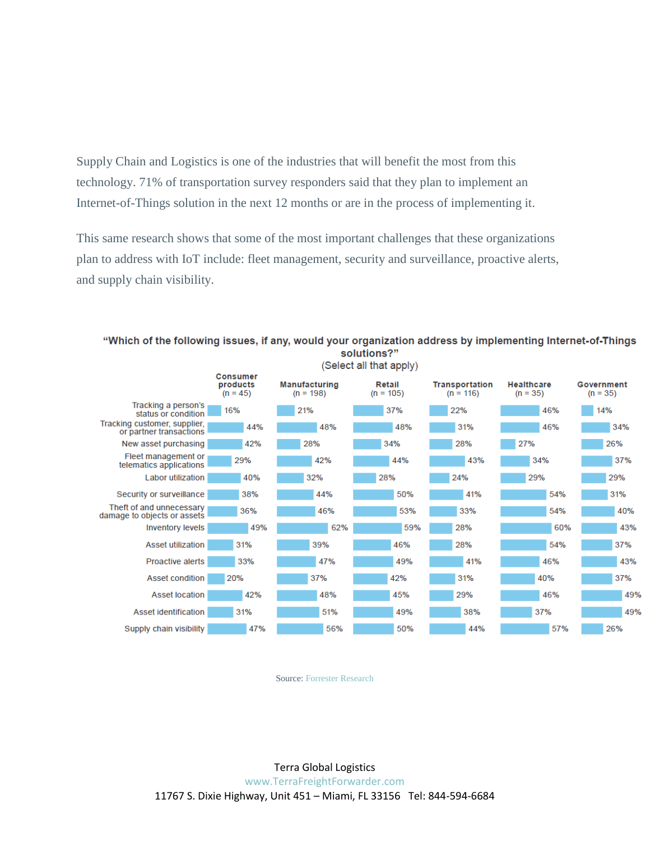Supply Chain and Logistics is one of the industries that will benefit the most from this technology. 71% of transportation survey responders said that they plan to implement an Internet-of-Things solution in the next 12 months or are in the process of implementing it.

This same research shows that some of the most important challenges that these organizations plan to address with IoT include: fleet management, security and surveillance, proactive alerts, and supply chain visibility.



"Which of the following issues, if any, would your organization address by implementing Internet-of-Things solutions?"

Source: [Forrester Research](https://www.zebra.com/content/dam/zebra/press-releases/en-us/2014/zebra-tlp-final.pdf)